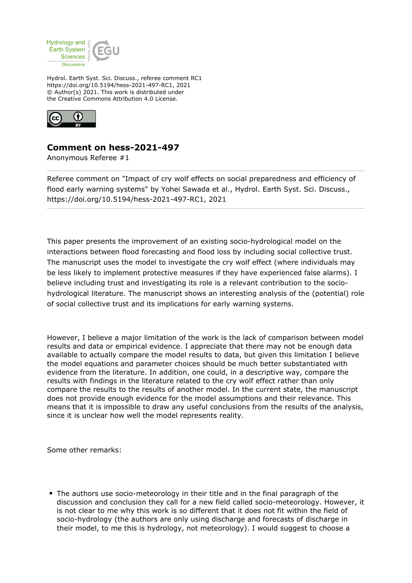

Hydrol. Earth Syst. Sci. Discuss., referee comment RC1 https://doi.org/10.5194/hess-2021-497-RC1, 2021 © Author(s) 2021. This work is distributed under the Creative Commons Attribution 4.0 License.



## **Comment on hess-2021-497**

Anonymous Referee #1

Referee comment on "Impact of cry wolf effects on social preparedness and efficiency of flood early warning systems" by Yohei Sawada et al., Hydrol. Earth Syst. Sci. Discuss., https://doi.org/10.5194/hess-2021-497-RC1, 2021

This paper presents the improvement of an existing socio-hydrological model on the interactions between flood forecasting and flood loss by including social collective trust. The manuscript uses the model to investigate the cry wolf effect (where individuals may be less likely to implement protective measures if they have experienced false alarms). I believe including trust and investigating its role is a relevant contribution to the sociohydrological literature. The manuscript shows an interesting analysis of the (potential) role of social collective trust and its implications for early warning systems.

However, I believe a major limitation of the work is the lack of comparison between model results and data or empirical evidence. I appreciate that there may not be enough data available to actually compare the model results to data, but given this limitation I believe the model equations and parameter choices should be much better substantiated with evidence from the literature. In addition, one could, in a descriptive way, compare the results with findings in the literature related to the cry wolf effect rather than only compare the results to the results of another model. In the current state, the manuscript does not provide enough evidence for the model assumptions and their relevance. This means that it is impossible to draw any useful conclusions from the results of the analysis, since it is unclear how well the model represents reality.

Some other remarks:

The authors use socio-meteorology in their title and in the final paragraph of the discussion and conclusion they call for a new field called socio-meteorology. However, it is not clear to me why this work is so different that it does not fit within the field of socio-hydrology (the authors are only using discharge and forecasts of discharge in their model, to me this is hydrology, not meteorology). I would suggest to choose a